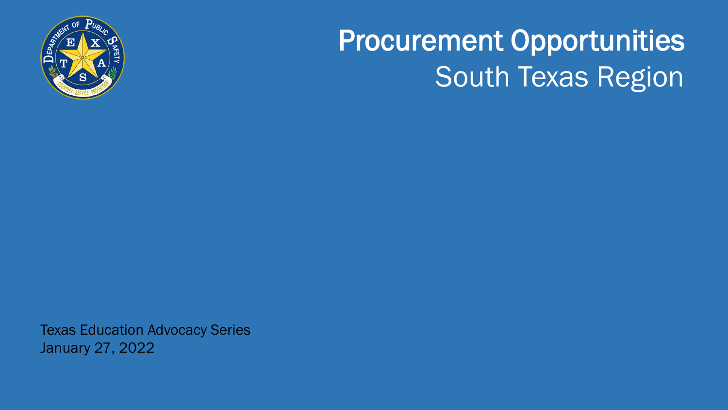

## Procurement Opportunities South Texas Region

Texas Education Advocacy Series January 27, 2022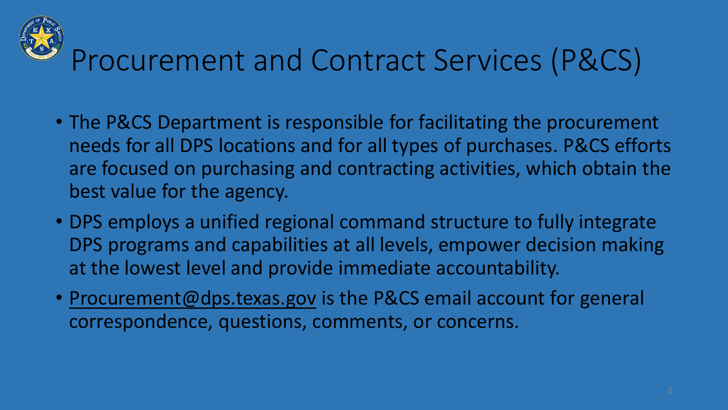

## Procurement and Contract Services (P&CS)

- The P&CS Department is responsible for facilitating the procurement needs for all DPS locations and for all types of purchases. P&CS efforts are focused on purchasing and contracting activities, which obtain the best value for the agency.
- DPS employs a unified regional command structure to fully integrate DPS programs and capabilities at all levels, empower decision making at the lowest level and provide immediate accountability.
- [Procurement@dps.texas.gov](mailto:Procurement@dps.texas.gov) is the P&CS email account for general correspondence, questions, comments, or concerns.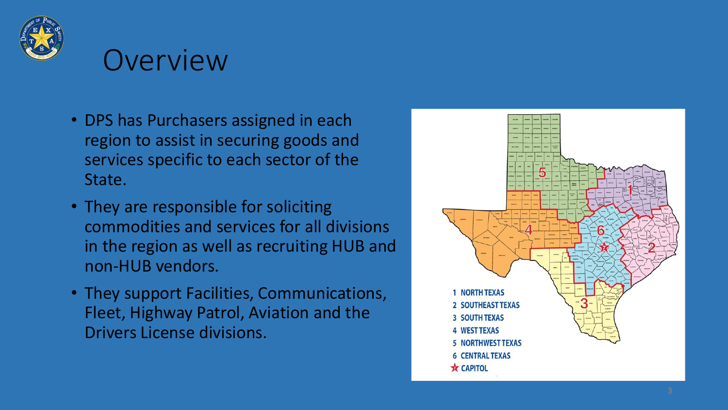

### Overview

- DPS has Purchasers assigned in each region to assist in securing goods and services specific to each sector of the State.
- They are responsible for soliciting commodities and services for all divisions in the region as well as recruiting HUB and non -HUB vendors.
- They support Facilities, Communications, Fleet, Highway Patrol, Aviation and the Drivers License divisions.

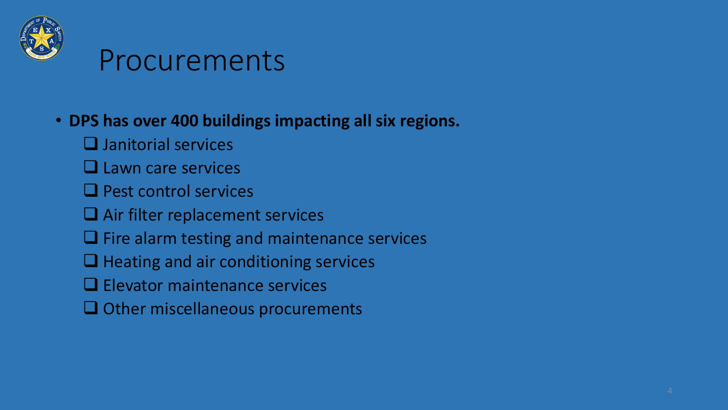

### Procurements

#### • **DPS has over 400 buildings impacting all six regions.**

- $\Box$  Janitorial services
- **Lawn care services**
- $\Box$  Pest control services
- $\Box$  Air filter replacement services
- $\Box$  Fire alarm testing and maintenance services
- $\Box$  Heating and air conditioning services
- $\Box$  Elevator maintenance services
- $\Box$  Other miscellaneous procurements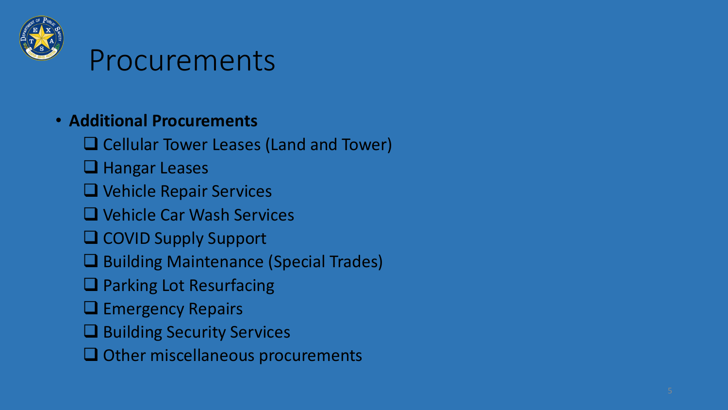

### Procurements

#### • **Additional Procurements**

□ Cellular Tower Leases (Land and Tower)

**Hangar Leases** 

**Q** Vehicle Repair Services

■ Vehicle Car Wash Services

Q COVID Supply Support

**■** Building Maintenance (Special Trades)

**□ Parking Lot Resurfacing** 

 $\Box$  Emergency Repairs

**■** Building Security Services

 $\Box$  Other miscellaneous procurements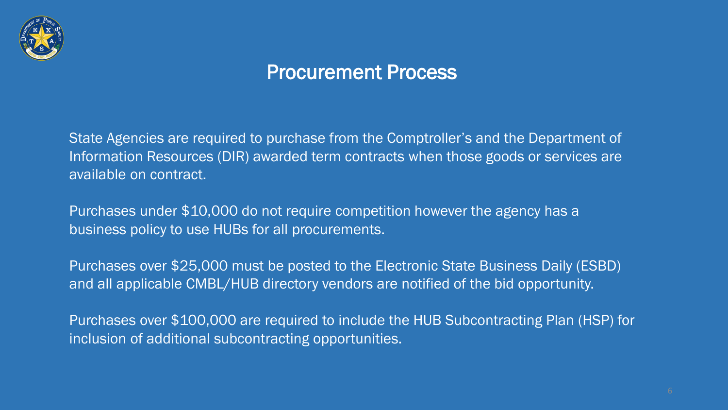

#### Procurement Process

State Agencies are required to purchase from the Comptroller's and the Department of Information Resources (DIR) awarded term contracts when those goods or services are available on contract.

Purchases under \$10,000 do not require competition however the agency has a business policy to use HUBs for all procurements.

Purchases over \$25,000 must be posted to the Electronic State Business Daily (ESBD) and all applicable CMBL/HUB directory vendors are notified of the bid opportunity.

Purchases over \$100,000 are required to include the HUB Subcontracting Plan (HSP) for inclusion of additional subcontracting opportunities.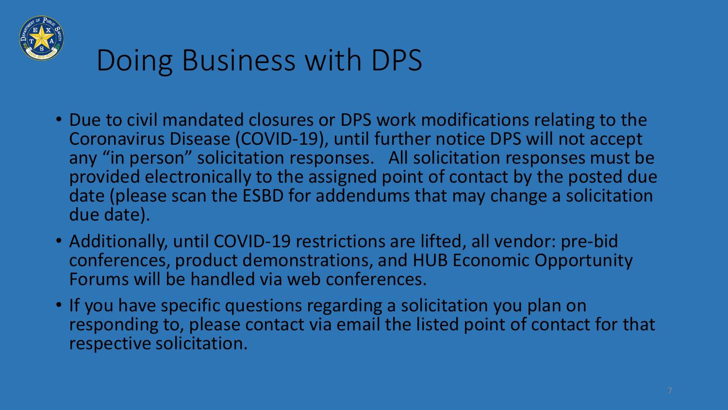

## Doing Business with DPS

- Due to civil mandated closures or DPS work modifications relating to the Coronavirus Disease (COVID-19), until further notice DPS will not accept any "in person" solicitation responses. All solicitation responses must be provided electronically to the assigned point of contact by the posted due date (please scan the ESBD for addendums that may change a solicitation due date).
- Additionally, until COVID-19 restrictions are lifted, all vendor: pre-bid conferences, product demonstrations, and HUB Economic Opportunity Forums will be handled via web conferences.
- If you have specific questions regarding a solicitation you plan on responding to, please contact via email the listed point of contact for that respective solicitation.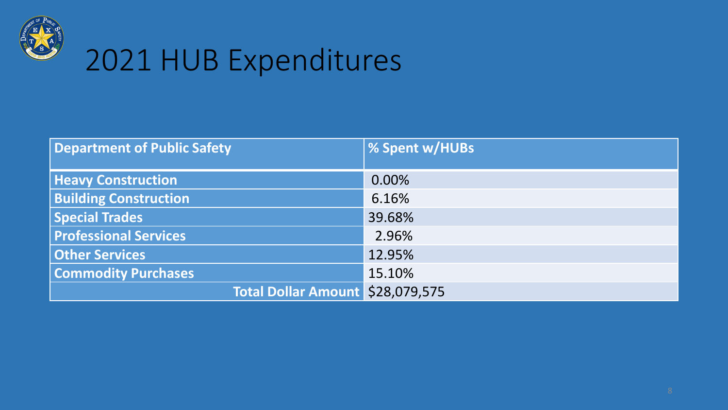

# 2021 HUB Expenditures

| Department of Public Safety             | <b>% Spent w/HUBs</b> |
|-----------------------------------------|-----------------------|
| <b>Heavy Construction</b>               | 0.00%                 |
| <b>Building Construction</b>            | 6.16%                 |
| <b>Special Trades</b>                   | 39.68%                |
| <b>Professional Services</b>            | 2.96%                 |
| <b>Other Services</b>                   | 12.95%                |
| <b>Commodity Purchases</b>              | 15.10%                |
| <b>Total Dollar Amount \$28,079,575</b> |                       |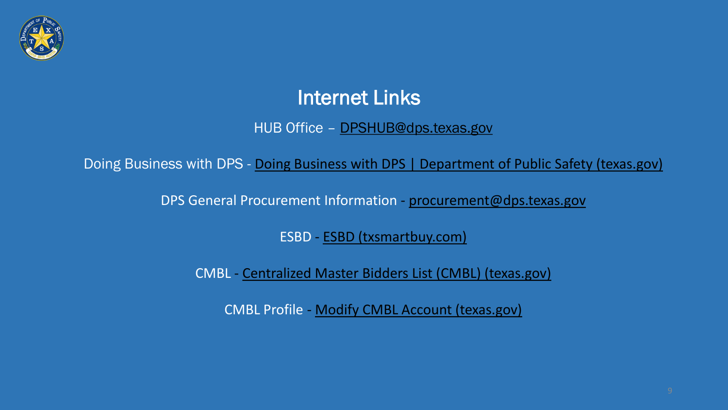

#### Internet Links

#### HUB Office – [DPSHUB@dps.texas.gov](mailto:DPSHUB@dps.texas.gov)

Doing Business with DPS - [Doing Business with DPS | Department of Public Safety \(texas.gov\)](https://www.dps.texas.gov/section/infrastructure-operations/doing-business-dps)

DPS General Procurement Information - [procurement@dps.texas.gov](mailto:procurement@dps.texas.gov)

ESBD - [ESBD \(txsmartbuy.com\)](http://www.txsmartbuy.com/esbd)

CMBL - [Centralized Master Bidders List \(CMBL\) \(texas.gov\)](https://comptroller.texas.gov/purchasing/vendor/cmbl/)

CMBL Profile - [Modify CMBL Account \(texas.gov\)](https://comptroller.texas.gov/purchasing/vendor/registration/modify.php)